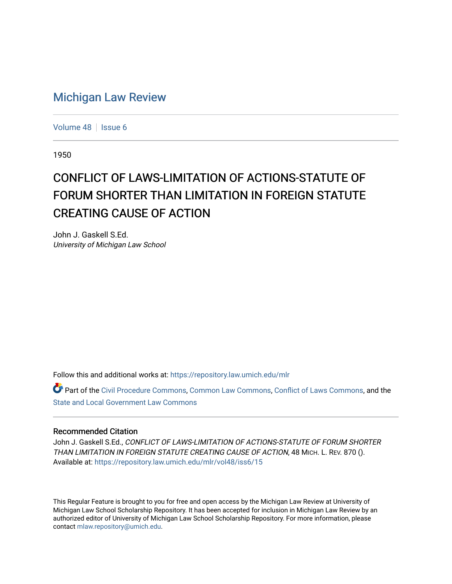## [Michigan Law Review](https://repository.law.umich.edu/mlr)

[Volume 48](https://repository.law.umich.edu/mlr/vol48) | [Issue 6](https://repository.law.umich.edu/mlr/vol48/iss6)

1950

## CONFLICT OF LAWS-LIMITATION OF ACTIONS-STATUTE OF FORUM SHORTER THAN LIMITATION IN FOREIGN STATUTE CREATING CAUSE OF ACTION

John J. Gaskell S.Ed. University of Michigan Law School

Follow this and additional works at: [https://repository.law.umich.edu/mlr](https://repository.law.umich.edu/mlr?utm_source=repository.law.umich.edu%2Fmlr%2Fvol48%2Fiss6%2F15&utm_medium=PDF&utm_campaign=PDFCoverPages) 

Part of the [Civil Procedure Commons,](http://network.bepress.com/hgg/discipline/584?utm_source=repository.law.umich.edu%2Fmlr%2Fvol48%2Fiss6%2F15&utm_medium=PDF&utm_campaign=PDFCoverPages) [Common Law Commons](http://network.bepress.com/hgg/discipline/1120?utm_source=repository.law.umich.edu%2Fmlr%2Fvol48%2Fiss6%2F15&utm_medium=PDF&utm_campaign=PDFCoverPages), [Conflict of Laws Commons](http://network.bepress.com/hgg/discipline/588?utm_source=repository.law.umich.edu%2Fmlr%2Fvol48%2Fiss6%2F15&utm_medium=PDF&utm_campaign=PDFCoverPages), and the [State and Local Government Law Commons](http://network.bepress.com/hgg/discipline/879?utm_source=repository.law.umich.edu%2Fmlr%2Fvol48%2Fiss6%2F15&utm_medium=PDF&utm_campaign=PDFCoverPages) 

## Recommended Citation

John J. Gaskell S.Ed., CONFLICT OF LAWS-LIMITATION OF ACTIONS-STATUTE OF FORUM SHORTER THAN LIMITATION IN FOREIGN STATUTE CREATING CAUSE OF ACTION, 48 MICH. L. REV. 870 (). Available at: [https://repository.law.umich.edu/mlr/vol48/iss6/15](https://repository.law.umich.edu/mlr/vol48/iss6/15?utm_source=repository.law.umich.edu%2Fmlr%2Fvol48%2Fiss6%2F15&utm_medium=PDF&utm_campaign=PDFCoverPages) 

This Regular Feature is brought to you for free and open access by the Michigan Law Review at University of Michigan Law School Scholarship Repository. It has been accepted for inclusion in Michigan Law Review by an authorized editor of University of Michigan Law School Scholarship Repository. For more information, please contact [mlaw.repository@umich.edu](mailto:mlaw.repository@umich.edu).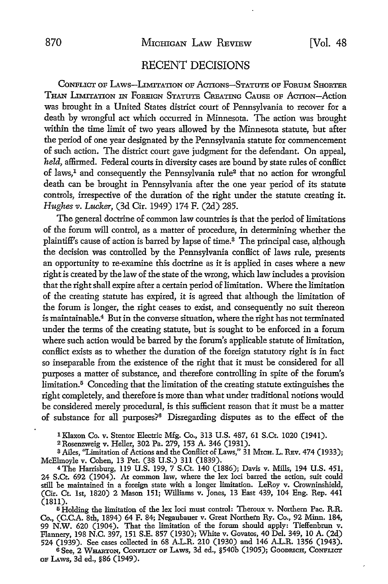## RECENT DECISIONS

CoNFLICT OF LAws-Ln\nTATION oF AcTioNs-STATUTE oF FoRUM SHORTER THAN LIMITATION IN FoREIGN STATUTE CREATING CAUSE OF ACTION-Action was brought in a United States district court of Pennsylvania to recover for a death by wrongful act which occurred in Minnesota. The action was brought within the time limit of two years allowed by the Minnesota statute, but after the period of one year designated by the Pennsylvania statute for commencement of such action. The district court gave judgment for the defendant. On appeal, held, affirmed. Federal courts in diversity cases are bound by state rules of conflict of laws,<sup>1</sup> and consequently the Pennsylvania rule<sup>2</sup> that no action for wrongful death can be brought in Pennsylvania after the one year period of its statute controls, irrespective of the duration of the right under the statute creating it. *Hughes v. Lucker,* (3d Cir. 1949) 174 F. (2d) 285.

The general doctrine of common law countries is that the period of limitations of the forum will control, as a matter of procedure, in determining whether the plaintiff's cause of action is barred by lapse of time.3 The principal case, although the decision was controlled by the Pennsylvania conflict of laws rule, presents an opportunity to re-examine this doctrine as it is applied in cases where a new right is created by the law of the state of the wrong, which law includes a provision that the right shall expire after a certain period of limitation. Where the limitation of the creating statute has expired, it is agreed that although the limitation of the forum is longer, the right ceases to exist, and consequently no suit thereon is maintainable.4 But in the converse situation, where the right has not terminated under the terms of the creating statute, but is sought to be enforced in a forum where such action would be barred by the forum's applicable statute of limitation, conBict exists as to whether the duration of the foreign statutory right is in fact so inseparable from the existence of the right that it must be considered for all purposes a matter of substance, and therefore controlling in spite of the forum's limitation.5 Conceding that the limitation of the creating statute extinguishes the right completely, and therefore is more than what under traditional notions would be considered merely procedural, is this sufficient reason that it must be a matter of substance for all purposes?6 Disregarding disputes as to the effect of the

1 Klaxon Co. v. Stentor Electric Mfg. Co., 313 U.S. 487, 61 S.Ct. 1020 (1941).

2Rosenzweig v. Heller, 302 Pa. 279, 153 A. 346 (1931).

<sup>3</sup> Ailes, "Limitation of Actions and the Conflict of Laws," 31 MrcH. L. REv. 474 (1933); McElmoyle v. Cohen, 13 Pet. (38 U.S.) 311 (1839).

4The Harrisburg, 119 U.S. 199, 7 S.Ct. 140 (1886); Davis v. Mills, 194 U.S. 451, 24 S.Ct. 692 (1904). At common law, where the lex loci barred the action, suit could still be maintained in a foreign state with a longer limitation. LeRoy v. Crowninshield, (Cir. Ct. 1st, 1820) 2 Mason 151; Williams v. Jones, 13 East 439, 104 Eng. Rep. 441 (1811).

<sup>5</sup> Holding the limitation of the lex loci must control: Theroux v. Northern Pac. R.R. Co., (C.C.A. 8th, 1894) 64 F. 84; Negaubauer v. Great Northern Ry. Co., 92 Minn. 184, 99 N.W. 620 (1904). That the limitation of the forum should apply: Tieffenbrun v. Flannery, 198 N.C. 397, 151 S.E. 857 (1930); White v. Govatos, 40 Del. 349, 10 A. (2d) 524 (1939). See cases collected in 68 A.L.R. 210 (1930) and 146 A.L.R. 1356 (1943).

6 See, 2 WHARTON, CONFLICT OF LAWS, 3d ed., §540b (1905); GOODRICH, CONFLICT or Laws, 3d ed., §86 (1949).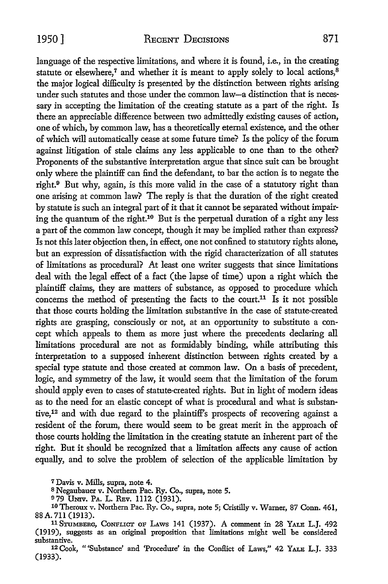language of the respective limitations, and where it is found, i.e., in the creating statute or elsewhere,<sup>7</sup> and whether it is meant to apply solely to local actions, $8$ the major logical difficulty is presented by the distinction between rights arising under such statutes and those under the common law-a distinction that is necessary in accepting the limitation of the creating statute as a part of the right. Is there an appreciable difference between two admittedly existing causes of action, one of which, by common law, has a theoretically eternal existence, and the other of which will automatically cease at some future time? Is the policy of the forum against litigation of stale claims any less applicable to one than to the other? Proponents of the substantive interpretation argue that since suit can be brought only where the plaintiff can find the defendant, to bar the action is to negate the right.9 But why, again, is this more valid in the case of a statutory right than one arising at common law? The reply is that the duration of the right created by statute is such an integral part of it that it cannot be separated without impairing the quantum of the right.10 But is the perpetual duration of a right any less a part of the common law concept, though it may be implied rather than express? Is not this later objection then, in effect, one not confined to statutory rights alone, but an expression of dissatisfaction with the rigid characterization of all statutes of limitations as procedural? At least one writer suggests that since limitations deal with the legal effect of a fact (the lapse of time) upon a right which the plaintiff claims, they are matters of substance, as opposed to procedure which concerns the method of presenting the facts to the court.<sup>11</sup> Is it not possible that those courts holding the limitation substantive in the case of statute-created rights are grasping, consciously or not, at an opportunity to substitute a concept which appeals to them as more just where the precedents declaring all limitations procedural are not as formidably binding, while attributing this interpretation to a supposed inherent distinction between rights created by a special type statute and those created at common law. On a basis of precedent, logic, and symmetry of the law, it would seem that the limitation of the forum should apply even to cases of statute-created rights. But in light of modern ideas as to the need for an elastic concept of what is procedural and what is substantive, 12 and with due regard to the plaintiff's prospects of recovering against a resident of the forum, there would seem to be great merit in the approach of those courts holding the limitation in the creating statute an inherent part of the right. But it should be recognized that a limitation affects any cause of action equally, and to solve the problem of selection of the applicable limitation by

<sup>7</sup>Davis v. Mills, supra, note 4.

<sup>8</sup>Negaubauer v. Northern Pac. Ry. Co., supra, note 5.

979 UNIV. PA. L. REV. 1112 (1931).

<sup>10</sup> Theroux v. Northern Pac. Ry. Co., supra, note 5; Cristilly v. Warner, 87 Conn. 461, 88A. 711 (1913).

<sup>11</sup>STOMBERG, CoNFLICT OF LAws 141 (1937). A comment in 28 YALE L.J. 492 (1919), suggests as an original proposition that limitations might well be considered substantive.

12 Cook, "'Substance' and 'Procedure' in the Conllict of Laws," 42 YALE L.J. 333 (1933).